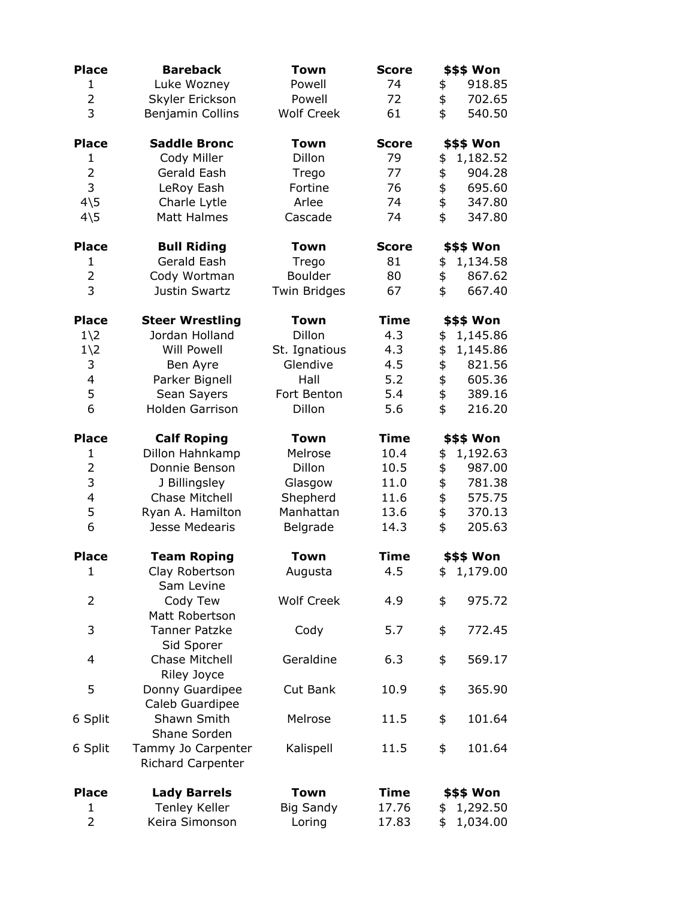| <b>Place</b>    | <b>Bareback</b>                                | <b>Town</b>         | <b>Score</b> | \$\$\$ Won        |  |
|-----------------|------------------------------------------------|---------------------|--------------|-------------------|--|
| $\mathbf{1}$    | Luke Wozney                                    | Powell              | 74           | 918.85<br>\$      |  |
| $\overline{2}$  | Skyler Erickson                                | Powell              | 72           | \$<br>702.65      |  |
| 3               | Benjamin Collins                               | <b>Wolf Creek</b>   | 61           | \$<br>540.50      |  |
| <b>Place</b>    | <b>Saddle Bronc</b>                            | <b>Town</b>         | <b>Score</b> | \$\$\$ Won        |  |
| 1               | Cody Miller                                    | Dillon              | 79           | 1,182.52<br>\$    |  |
| $\overline{2}$  | Gerald Eash                                    | Trego               | 77           | \$<br>904.28      |  |
| 3               | LeRoy Eash                                     | Fortine             | 76           | \$<br>695.60      |  |
| $4\overline{5}$ | Charle Lytle                                   | Arlee               | 74           | \$<br>347.80      |  |
| $4\overline{5}$ | Matt Halmes                                    | Cascade             | 74           | \$<br>347.80      |  |
| <b>Place</b>    | <b>Bull Riding</b>                             | <b>Town</b>         | <b>Score</b> | \$\$\$ Won        |  |
| $\mathbf{1}$    | Gerald Eash                                    | Trego               | 81           | 1,134.58<br>\$    |  |
| $\overline{2}$  | Cody Wortman                                   | Boulder             | 80           | \$<br>867.62      |  |
| $\overline{3}$  | Justin Swartz                                  | <b>Twin Bridges</b> | 67           | \$<br>667.40      |  |
| <b>Place</b>    | <b>Steer Wrestling</b>                         | <b>Town</b>         | <b>Time</b>  | \$\$\$ Won        |  |
| $1\angle 2$     | Jordan Holland                                 | Dillon              | 4.3          | 1,145.86<br>\$    |  |
| $1\angle 2$     | <b>Will Powell</b>                             | St. Ignatious       | 4.3          | \$<br>1,145.86    |  |
| 3               | Ben Ayre                                       | Glendive            | 4.5          | \$<br>821.56      |  |
| 4               | Parker Bignell                                 | Hall                | 5.2          | \$<br>605.36      |  |
| 5               | Sean Sayers                                    | Fort Benton         | 5.4          | \$<br>389.16      |  |
| 6               | <b>Holden Garrison</b>                         | Dillon              | 5.6          | \$<br>216.20      |  |
| <b>Place</b>    | <b>Calf Roping</b>                             | Town                | <b>Time</b>  | \$\$\$ Won        |  |
| $\mathbf{1}$    | Dillon Hahnkamp                                | Melrose             | 10.4         | 1,192.63<br>\$    |  |
| $\overline{2}$  | Donnie Benson                                  | Dillon              | 10.5         | \$<br>987.00      |  |
| 3               | J Billingsley                                  | Glasgow             | 11.0         | \$<br>781.38      |  |
| 4               | <b>Chase Mitchell</b>                          | Shepherd            | 11.6         | \$<br>575.75      |  |
| 5               | Ryan A. Hamilton                               | Manhattan           | 13.6         | \$<br>370.13      |  |
| 6               | Jesse Medearis                                 | Belgrade            | 14.3         | \$<br>205.63      |  |
| <b>Place</b>    | <b>Team Roping</b>                             | <b>Town</b>         | <b>Time</b>  | <b>\$\$\$ Won</b> |  |
| $\mathbf{1}$    | Clay Robertson<br>Sam Levine                   | Augusta             | 4.5          | \$1,179.00        |  |
| $\overline{2}$  | Cody Tew<br>Matt Robertson                     | <b>Wolf Creek</b>   | 4.9          | \$<br>975.72      |  |
| 3               | <b>Tanner Patzke</b><br>Sid Sporer             | Cody                | 5.7          | 772.45<br>\$      |  |
| 4               | Chase Mitchell<br>Riley Joyce                  | Geraldine           | 6.3          | \$<br>569.17      |  |
| 5               | Donny Guardipee<br>Caleb Guardipee             | Cut Bank            | 10.9         | 365.90<br>\$      |  |
| 6 Split         | Shawn Smith<br>Shane Sorden                    | Melrose             | 11.5         | \$<br>101.64      |  |
| 6 Split         | Tammy Jo Carpenter<br><b>Richard Carpenter</b> | Kalispell           | 11.5         | \$<br>101.64      |  |
| <b>Place</b>    | <b>Lady Barrels</b>                            | <b>Town</b>         | <b>Time</b>  | \$\$\$ Won        |  |
| $\mathbf 1$     | <b>Tenley Keller</b>                           | <b>Big Sandy</b>    | 17.76        | 1,292.50<br>\$    |  |
| $\overline{2}$  | Keira Simonson                                 | Loring              | 17.83        | \$<br>1,034.00    |  |